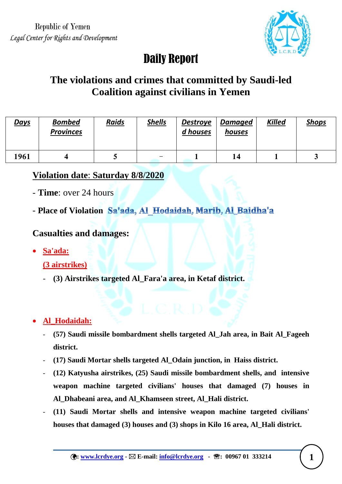

# Daily Report

# **The violations and crimes that committed by Saudi-led Coalition against civilians in Yemen**

| <b>Days</b> | <b>Bombed</b><br><b>Provinces</b> | <b>Raids</b> | <b>Shells</b> | <b>Destroye</b><br>d houses | <b>Damaged</b><br>houses | <b>Killed</b> | <u>Shops</u> |
|-------------|-----------------------------------|--------------|---------------|-----------------------------|--------------------------|---------------|--------------|
| 1961        |                                   | ັ            | -             |                             | 14                       |               | ັ            |

## **Violation date**: **Saturday 8/8/2020**

- **Time**: over 24 hours
- Place of Violation Sa'ada, Al Hodaidah, Marib, Al Baidha'a

## **Casualties and damages:**

**Sa'ada:**

**(3 airstrikes)**

- **(3) Airstrikes targeted Al\_Fara'a area, in Ketaf district.**

## **Al\_Hodaidah:**

- **(57) Saudi missile bombardment shells targeted Al\_Jah area, in Bait Al\_Fageeh district.**
- **(17) Saudi Mortar shells targeted Al\_Odain junction, in Haiss district.**
- **(12) Katyusha airstrikes, (25) Saudi missile bombardment shells, and intensive weapon machine targeted civilians' houses that damaged (7) houses in Al\_Dhabeani area, and Al\_Khamseen street, Al\_Hali district.**
- **(11) Saudi Mortar shells and intensive weapon machine targeted civilians' houses that damaged (3) houses and (3) shops in Kilo 16 area, Al\_Hali district.**